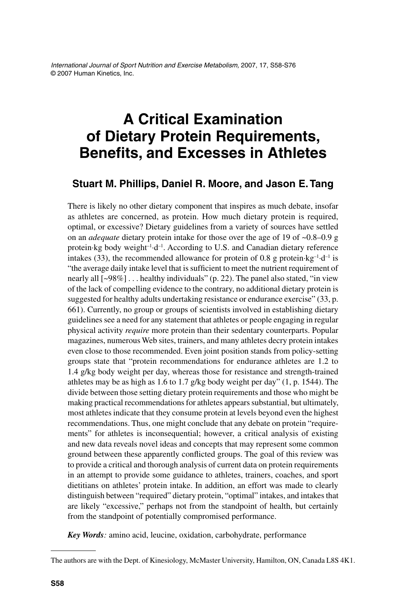*International Journal of Sport Nutrition and Exercise Metabolism,* 2007, 17, S58-S76 © 2007 Human Kinetics, Inc.

# **A Critical Examination of Dietary Protein Requirements, Benefits, and Excesses in Athletes**

#### **Stuart M. Phillips, Daniel R. Moore, and Jason E. Tang**

There is likely no other dietary component that inspires as much debate, insofar as athletes are concerned, as protein. How much dietary protein is required, optimal, or excessive? Dietary guidelines from a variety of sources have settled on an *adequate* dietary protein intake for those over the age of 19 of ~0.8–0.9 g protein·kg body weight<sup>-1</sup>·d<sup>-1</sup>. According to U.S. and Canadian dietary reference intakes (33), the recommended allowance for protein of 0.8 g protein·kg<sup>-1</sup>·d<sup>-1</sup> is "the average daily intake level that is sufficient to meet the nutrient requirement of nearly all [~98%] . . . healthy individuals" (p. 22). The panel also stated, "in view of the lack of compelling evidence to the contrary, no additional dietary protein is suggested for healthy adults undertaking resistance or endurance exercise" (33, p. 661). Currently, no group or groups of scientists involved in establishing dietary guidelines see a need for any statement that athletes or people engaging in regular physical activity *require* more protein than their sedentary counterparts. Popular magazines, numerous Web sites, trainers, and many athletes decry protein intakes even close to those recommended. Even joint position stands from policy-setting groups state that "protein recommendations for endurance athletes are 1.2 to 1.4 g/kg body weight per day, whereas those for resistance and strength-trained athletes may be as high as 1.6 to 1.7 g/kg body weight per day" (1, p. 1544). The divide between those setting dietary protein requirements and those who might be making practical recommendations for athletes appears substantial, but ultimately, most athletes indicate that they consume protein at levels beyond even the highest recommendations. Thus, one might conclude that any debate on protein "requirements" for athletes is inconsequential; however, a critical analysis of existing and new data reveals novel ideas and concepts that may represent some common ground between these apparently conflicted groups. The goal of this review was to provide a critical and thorough analysis of current data on protein requirements in an attempt to provide some guidance to athletes, trainers, coaches, and sport dietitians on athletes' protein intake. In addition, an effort was made to clearly distinguish between "required" dietary protein, "optimal" intakes, and intakes that are likely "excessive," perhaps not from the standpoint of health, but certainly from the standpoint of potentially compromised performance.

*Key Words:* amino acid, leucine, oxidation, carbohydrate, performance

The authors are with the Dept. of Kinesiology, McMaster University, Hamilton, ON, Canada L8S 4K1.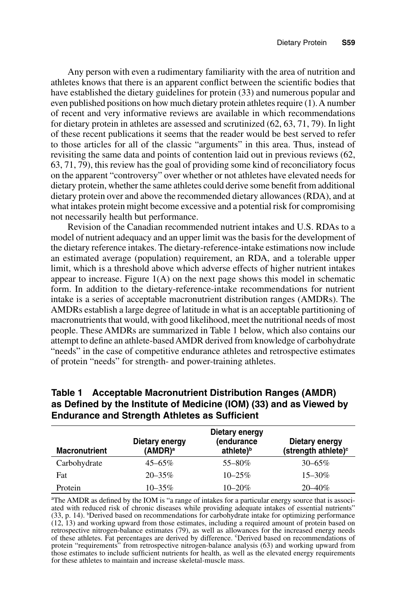Any person with even a rudimentary familiarity with the area of nutrition and athletes knows that there is an apparent conflict between the scientific bodies that have established the dietary guidelines for protein (33) and numerous popular and even published positions on how much dietary protein athletes require (1). A number of recent and very informative reviews are available in which recommendations for dietary protein in athletes are assessed and scrutinized (62, 63, 71, 79). In light of these recent publications it seems that the reader would be best served to refer to those articles for all of the classic "arguments" in this area. Thus, instead of revisiting the same data and points of contention laid out in previous reviews (62, 63, 71, 79), this review has the goal of providing some kind of reconciliatory focus on the apparent "controversy" over whether or not athletes have elevated needs for dietary protein, whether the same athletes could derive some benefit from additional dietary protein over and above the recommended dietary allowances (RDA), and at what intakes protein might become excessive and a potential risk for compromising not necessarily health but performance.

Revision of the Canadian recommended nutrient intakes and U.S. RDAs to a model of nutrient adequacy and an upper limit was the basis for the development of the dietary reference intakes. The dietary-reference-intake estimations now include an estimated average (population) requirement, an RDA, and a tolerable upper limit, which is a threshold above which adverse effects of higher nutrient intakes appear to increase. Figure  $1(A)$  on the next page shows this model in schematic form. In addition to the dietary-reference-intake recommendations for nutrient intake is a series of acceptable macronutrient distribution ranges (AMDRs). The AMDRs establish a large degree of latitude in what is an acceptable partitioning of macronutrients that would, with good likelihood, meet the nutritional needs of most people. These AMDRs are summarized in Table 1 below, which also contains our attempt to define an athlete-based AMDR derived from knowledge of carbohydrate "needs" in the case of competitive endurance athletes and retrospective estimates of protein "needs" for strength- and power-training athletes.

| <b>Macronutrient</b> | Dietary energy<br>(AMDR) <sup>a</sup> | Dietary energy<br>(endurance<br>athlete) <sup>b</sup> | Dietary energy<br>(strength athlete) <sup>c</sup> |
|----------------------|---------------------------------------|-------------------------------------------------------|---------------------------------------------------|
| Carbohydrate         | $45 - 65\%$                           | $55 - 80\%$                                           | $30 - 65\%$                                       |
| Fat                  | $20 - 35\%$                           | $10 - 25\%$                                           | $15 - 30\%$                                       |
| Protein              | $10 - 35\%$                           | $10 - 20\%$                                           | $20 - 40\%$                                       |

#### **Table 1 Acceptable Macronutrient Distribution Ranges (AMDR) as Defined by the Institute of Medicine (IOM) (33) and as Viewed by Endurance and Strength Athletes as Sufficient**

<sup>a</sup>The AMDR as defined by the IOM is "a range of intakes for a particular energy source that is associated with reduced risk of chronic diseases while providing adequate intakes of essential nutrients" (33, p. 14). *b*Derived based on recommendations for carbohydrate intake for optimizing performance  $(12, 13)$  and working upward from those estimates, including a required amount of protein based on retrospective nitrogen-balance estimates (79), as well as allowances for the increased energy needs of these athletes. Fat percentages are derived by difference. <sup>c</sup>Derived based on recommendations of protein "requirements" from retrospective nitrogen-balance analysis (63) and working upward from those estimates to include sufficient nutrients for health, as well as the elevated energy requirements for these athletes to maintain and increase skeletal-muscle mass.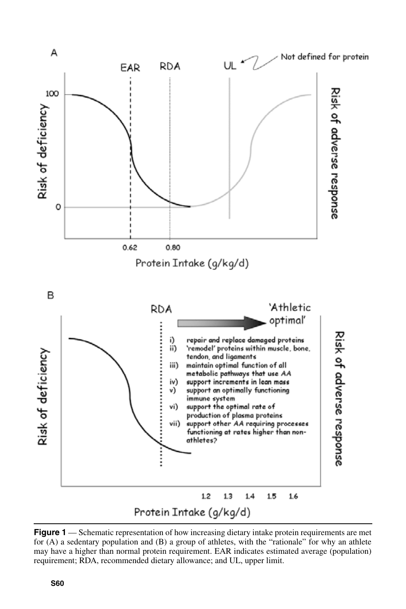

**Figure 1** — Schematic representation of how increasing dietary intake protein requirements are met for (A) a sedentary population and (B) a group of athletes, with the "rationale" for why an athlete may have a higher than normal protein requirement. EAR indicates estimated average (population) requirement; RDA, recommended dietary allowance; and UL, upper limit.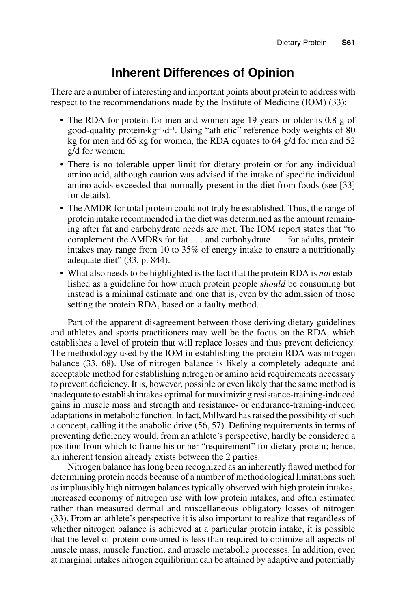# **Inherent Differences of Opinion**

There are a number of interesting and important points about protein to address with respect to the recommendations made by the Institute of Medicine (IOM) (33):

- The RDA for protein for men and women age 19 years or older is 0.8 g of good-quality protein $\text{kg}^{-1} \text{d}^{-1}$ . Using "athletic" reference body weights of 80 kg for men and 65 kg for women, the RDA equates to 64 g/d for men and 52 g/d for women.
- There is no tolerable upper limit for dietary protein or for any individual amino acid, although caution was advised if the intake of specific individual amino acids exceeded that normally present in the diet from foods (see [33] for details).
- The AMDR for total protein could not truly be established. Thus, the range of protein intake recommended in the diet was determined as the amount remaining after fat and carbohydrate needs are met. The IOM report states that "to complement the AMDRs for fat . . . and carbohydrate . . . for adults, protein intakes may range from 10 to 35% of energy intake to ensure a nutritionally adequate diet" (33, p. 844).
- What also needs to be highlighted is the fact that the protein RDA is *not* established as a guideline for how much protein people *should* be consuming but instead is a minimal estimate and one that is, even by the admission of those setting the protein RDA, based on a faulty method.

Part of the apparent disagreement between those deriving dietary guidelines and athletes and sports practitioners may well be the focus on the RDA, which establishes a level of protein that will replace losses and thus prevent deficiency. The methodology used by the IOM in establishing the protein RDA was nitrogen balance (33, 68). Use of nitrogen balance is likely a completely adequate and acceptable method for establishing nitrogen or amino acid requirements necessary to prevent deficiency. It is, however, possible or even likely that the same method is inadequate to establish intakes optimal for maximizing resistance-training-induced gains in muscle mass and strength and resistance- or endurance-training-induced adaptations in metabolic function. In fact, Millward has raised the possibility of such a concept, calling it the anabolic drive (56, 57). Defining requirements in terms of preventing deficiency would, from an athlete's perspective, hardly be considered a position from which to frame his or her "requirement" for dietary protein; hence, an inherent tension already exists between the 2 parties.

Nitrogen balance has long been recognized as an inherently flawed method for determining protein needs because of a number of methodological limitations such as implausibly high nitrogen balances typically observed with high protein intakes, increased economy of nitrogen use with low protein intakes, and often estimated rather than measured dermal and miscellaneous obligatory losses of nitrogen (33). From an athlete's perspective it is also important to realize that regardless of whether nitrogen balance is achieved at a particular protein intake, it is possible that the level of protein consumed is less than required to optimize all aspects of muscle mass, muscle function, and muscle metabolic processes. In addition, even at marginal intakes nitrogen equilibrium can be attained by adaptive and potentially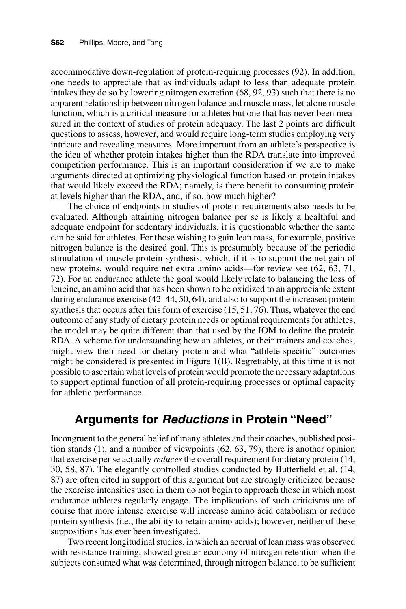accommodative down-regulation of protein-requiring processes (92). In addition, one needs to appreciate that as individuals adapt to less than adequate protein intakes they do so by lowering nitrogen excretion (68, 92, 93) such that there is no apparent relationship between nitrogen balance and muscle mass, let alone muscle function, which is a critical measure for athletes but one that has never been measured in the context of studies of protein adequacy. The last 2 points are difficult questions to assess, however, and would require long-term studies employing very intricate and revealing measures. More important from an athlete's perspective is the idea of whether protein intakes higher than the RDA translate into improved competition performance. This is an important consideration if we are to make arguments directed at optimizing physiological function based on protein intakes that would likely exceed the RDA; namely, is there benefit to consuming protein at levels higher than the RDA, and, if so, how much higher?

The choice of endpoints in studies of protein requirements also needs to be evaluated. Although attaining nitrogen balance per se is likely a healthful and adequate endpoint for sedentary individuals, it is questionable whether the same can be said for athletes. For those wishing to gain lean mass, for example, positive nitrogen balance is the desired goal. This is presumably because of the periodic stimulation of muscle protein synthesis, which, if it is to support the net gain of new proteins, would require net extra amino acids—for review see (62, 63, 71, 72). For an endurance athlete the goal would likely relate to balancing the loss of leucine, an amino acid that has been shown to be oxidized to an appreciable extent during endurance exercise (42–44, 50, 64), and also to support the increased protein synthesis that occurs after this form of exercise (15, 51, 76). Thus, whatever the end outcome of any study of dietary protein needs or optimal requirements for athletes, the model may be quite different than that used by the IOM to define the protein RDA. A scheme for understanding how an athletes, or their trainers and coaches, might view their need for dietary protein and what "athlete-specific" outcomes might be considered is presented in Figure 1(B). Regrettably, at this time it is not possible to ascertain what levels of protein would promote the necessary adaptations to support optimal function of all protein-requiring processes or optimal capacity for athletic performance.

#### **Arguments for** *Reductions* **in Protein "Need"**

Incongruent to the general belief of many athletes and their coaches, published position stands (1), and a number of viewpoints (62, 63, 79), there is another opinion that exercise per se actually *reduces* the overall requirement for dietary protein (14, 30, 58, 87). The elegantly controlled studies conducted by Butterfield et al. (14, 87) are often cited in support of this argument but are strongly criticized because the exercise intensities used in them do not begin to approach those in which most endurance athletes regularly engage. The implications of such criticisms are of course that more intense exercise will increase amino acid catabolism or reduce protein synthesis (i.e., the ability to retain amino acids); however, neither of these suppositions has ever been investigated.

Two recent longitudinal studies, in which an accrual of lean mass was observed with resistance training, showed greater economy of nitrogen retention when the subjects consumed what was determined, through nitrogen balance, to be sufficient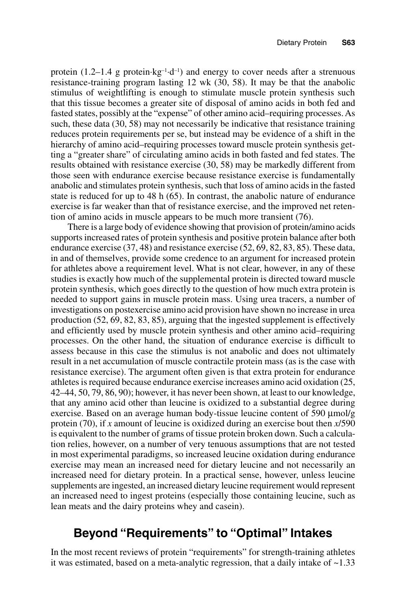protein  $(1.2-1.4 \text{ g protein} \cdot \text{kg}^{-1} \cdot \text{d}^{-1})$  and energy to cover needs after a strenuous resistance-training program lasting 12 wk (30, 58). It may be that the anabolic stimulus of weightlifting is enough to stimulate muscle protein synthesis such that this tissue becomes a greater site of disposal of amino acids in both fed and fasted states, possibly at the "expense" of other amino acid–requiring processes. As such, these data (30, 58) may not necessarily be indicative that resistance training reduces protein requirements per se, but instead may be evidence of a shift in the hierarchy of amino acid–requiring processes toward muscle protein synthesis getting a "greater share" of circulating amino acids in both fasted and fed states. The results obtained with resistance exercise (30, 58) may be markedly different from those seen with endurance exercise because resistance exercise is fundamentally anabolic and stimulates protein synthesis, such that loss of amino acids in the fasted state is reduced for up to 48 h (65). In contrast, the anabolic nature of endurance exercise is far weaker than that of resistance exercise, and the improved net retention of amino acids in muscle appears to be much more transient (76).

There is a large body of evidence showing that provision of protein/amino acids supports increased rates of protein synthesis and positive protein balance after both endurance exercise (37, 48) and resistance exercise (52, 69, 82, 83, 85). These data, in and of themselves, provide some credence to an argument for increased protein for athletes above a requirement level. What is not clear, however, in any of these studies is exactly how much of the supplemental protein is directed toward muscle protein synthesis, which goes directly to the question of how much extra protein is needed to support gains in muscle protein mass. Using urea tracers, a number of investigations on postexercise amino acid provision have shown no increase in urea production (52, 69, 82, 83, 85), arguing that the ingested supplement is effectively and efficiently used by muscle protein synthesis and other amino acid–requiring processes. On the other hand, the situation of endurance exercise is difficult to assess because in this case the stimulus is not anabolic and does not ultimately result in a net accumulation of muscle contractile protein mass (as is the case with resistance exercise). The argument often given is that extra protein for endurance athletes is required because endurance exercise increases amino acid oxidation (25, 42–44, 50, 79, 86, 90); however, it has never been shown, at least to our knowledge, that any amino acid other than leucine is oxidized to a substantial degree during exercise. Based on an average human body-tissue leucine content of 590  $\mu$ mol/g protein (70), if *x* amount of leucine is oxidized during an exercise bout then *x*/590 is equivalent to the number of grams of tissue protein broken down. Such a calculation relies, however, on a number of very tenuous assumptions that are not tested in most experimental paradigms, so increased leucine oxidation during endurance exercise may mean an increased need for dietary leucine and not necessarily an increased need for dietary protein. In a practical sense, however, unless leucine supplements are ingested, an increased dietary leucine requirement would represent an increased need to ingest proteins (especially those containing leucine, such as lean meats and the dairy proteins whey and casein).

# **Beyond "Requirements" to "Optimal" Intakes**

In the most recent reviews of protein "requirements" for strength-training athletes it was estimated, based on a meta-analytic regression, that a daily intake of  $\sim$ 1.33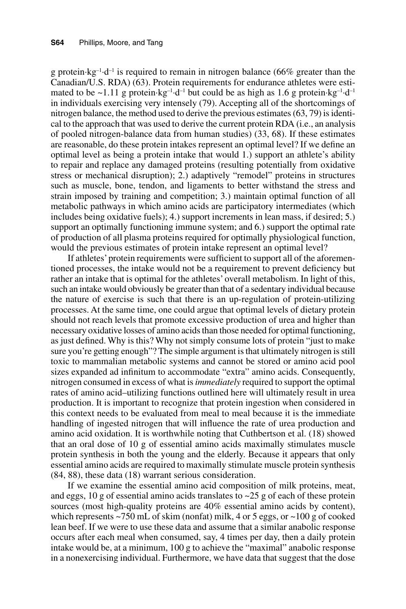g protein· $kg^{-1} \cdot d^{-1}$  is required to remain in nitrogen balance (66% greater than the Canadian/U.S. RDA) (63). Protein requirements for endurance athletes were estimated to be  $\sim$ 1.11 g protein·kg<sup>-1</sup>·d<sup>-1</sup> but could be as high as 1.6 g protein·kg<sup>-1</sup>·d<sup>-1</sup> in individuals exercising very intensely (79). Accepting all of the shortcomings of nitrogen balance, the method used to derive the previous estimates (63, 79) is identical to the approach that was used to derive the current protein RDA (i.e., an analysis of pooled nitrogen-balance data from human studies) (33, 68). If these estimates are reasonable, do these protein intakes represent an optimal level? If we define an optimal level as being a protein intake that would 1.) support an athlete's ability to repair and replace any damaged proteins (resulting potentially from oxidative stress or mechanical disruption); 2.) adaptively "remodel" proteins in structures such as muscle, bone, tendon, and ligaments to better withstand the stress and strain imposed by training and competition; 3.) maintain optimal function of all metabolic pathways in which amino acids are participatory intermediates (which includes being oxidative fuels); 4.) support increments in lean mass, if desired; 5.) support an optimally functioning immune system; and 6.) support the optimal rate of production of all plasma proteins required for optimally physiological function, would the previous estimates of protein intake represent an optimal level?

If athletes' protein requirements were sufficient to support all of the aforementioned processes, the intake would not be a requirement to prevent deficiency but rather an intake that is optimal for the athletes' overall metabolism. In light of this, such an intake would obviously be greater than that of a sedentary individual because the nature of exercise is such that there is an up-regulation of protein-utilizing processes. At the same time, one could argue that optimal levels of dietary protein should not reach levels that promote excessive production of urea and higher than necessary oxidative losses of amino acids than those needed for optimal functioning, as just defined. Why is this? Why not simply consume lots of protein "just to make sure you're getting enough"? The simple argument is that ultimately nitrogen is still toxic to mammalian metabolic systems and cannot be stored or amino acid pool sizes expanded ad infinitum to accommodate "extra" amino acids. Consequently, nitrogen consumed in excess of what is *immediately* required to support the optimal rates of amino acid–utilizing functions outlined here will ultimately result in urea production. It is important to recognize that protein ingestion when considered in this context needs to be evaluated from meal to meal because it is the immediate handling of ingested nitrogen that will influence the rate of urea production and amino acid oxidation. It is worthwhile noting that Cuthbertson et al. (18) showed that an oral dose of 10 g of essential amino acids maximally stimulates muscle protein synthesis in both the young and the elderly. Because it appears that only essential amino acids are required to maximally stimulate muscle protein synthesis (84, 88), these data (18) warrant serious consideration.

If we examine the essential amino acid composition of milk proteins, meat, and eggs, 10 g of essential amino acids translates to  $\sim$  25 g of each of these protein sources (most high-quality proteins are 40% essential amino acids by content), which represents  $\sim$  750 mL of skim (nonfat) milk, 4 or 5 eggs, or  $\sim$  100 g of cooked lean beef. If we were to use these data and assume that a similar anabolic response occurs after each meal when consumed, say, 4 times per day, then a daily protein intake would be, at a minimum, 100 g to achieve the "maximal" anabolic response in a nonexercising individual. Furthermore, we have data that suggest that the dose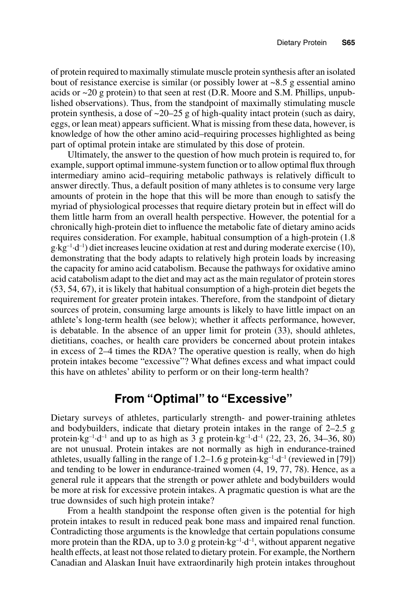of protein required to maximally stimulate muscle protein synthesis after an isolated bout of resistance exercise is similar (or possibly lower at  $\sim$ 8.5 g essential amino acids or  $\sim$  20 g protein) to that seen at rest (D.R. Moore and S.M. Phillips, unpublished observations). Thus, from the standpoint of maximally stimulating muscle protein synthesis, a dose of ~20–25 g of high-quality intact protein (such as dairy, eggs, or lean meat) appears sufficient. What is missing from these data, however, is knowledge of how the other amino acid–requiring processes highlighted as being part of optimal protein intake are stimulated by this dose of protein.

Ultimately, the answer to the question of how much protein is required to, for example, support optimal immune-system function or to allow optimal flux through intermediary amino acid–requiring metabolic pathways is relatively difficult to answer directly. Thus, a default position of many athletes is to consume very large amounts of protein in the hope that this will be more than enough to satisfy the myriad of physiological processes that require dietary protein but in effect will do them little harm from an overall health perspective. However, the potential for a chronically high-protein diet to influence the metabolic fate of dietary amino acids requires consideration. For example, habitual consumption of a high-protein (1.8  $g \cdot kg^{-1} \cdot d^{-1}$ ) diet increases leucine oxidation at rest and during moderate exercise (10), demonstrating that the body adapts to relatively high protein loads by increasing the capacity for amino acid catabolism. Because the pathways for oxidative amino acid catabolism adapt to the diet and may act as the main regulator of protein stores (53, 54, 67), it is likely that habitual consumption of a high-protein diet begets the requirement for greater protein intakes. Therefore, from the standpoint of dietary sources of protein, consuming large amounts is likely to have little impact on an athlete's long-term health (see below); whether it affects performance, however, is debatable. In the absence of an upper limit for protein (33), should athletes, dietitians, coaches, or health care providers be concerned about protein intakes in excess of 2–4 times the RDA? The operative question is really, when do high protein intakes become "excessive"? What defines excess and what impact could this have on athletes' ability to perform or on their long-term health?

# **From "Optimal" to "Excessive"**

Dietary surveys of athletes, particularly strength- and power-training athletes and bodybuilders, indicate that dietary protein intakes in the range of 2–2.5 g protein·kg<sup>-1</sup>·d<sup>-1</sup> and up to as high as 3 g protein·kg<sup>-1</sup>·d<sup>-1</sup> (22, 23, 26, 34–36, 80) are not unusual. Protein intakes are not normally as high in endurance-trained athletes, usually falling in the range of 1.2–1.6 g protein· $kg^{-1} \cdot d^{-1}$  (reviewed in [79]) and tending to be lower in endurance-trained women (4, 19, 77, 78). Hence, as a general rule it appears that the strength or power athlete and bodybuilders would be more at risk for excessive protein intakes. A pragmatic question is what are the true downsides of such high protein intake?

From a health standpoint the response often given is the potential for high protein intakes to result in reduced peak bone mass and impaired renal function. Contradicting those arguments is the knowledge that certain populations consume more protein than the RDA, up to 3.0 g protein $kg^{-1} \cdot d^{-1}$ , without apparent negative health effects, at least not those related to dietary protein. For example, the Northern Canadian and Alaskan Inuit have extraordinarily high protein intakes throughout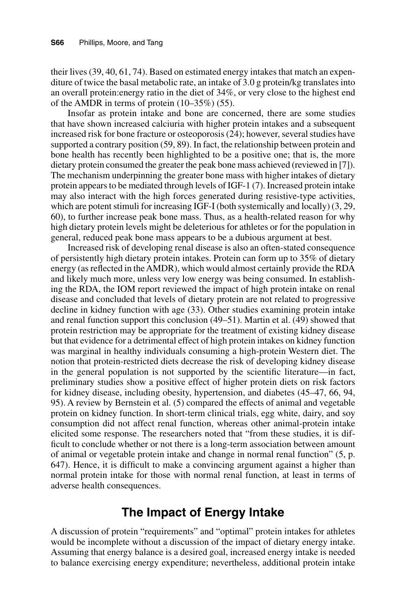their lives (39, 40, 61, 74). Based on estimated energy intakes that match an expenditure of twice the basal metabolic rate, an intake of 3.0 g protein/kg translates into an overall protein:energy ratio in the diet of 34%, or very close to the highest end of the AMDR in terms of protein  $(10-35\%)$  (55).

Insofar as protein intake and bone are concerned, there are some studies that have shown increased calciuria with higher protein intakes and a subsequent increased risk for bone fracture or osteoporosis (24); however, several studies have supported a contrary position (59, 89). In fact, the relationship between protein and bone health has recently been highlighted to be a positive one; that is, the more dietary protein consumed the greater the peak bone mass achieved (reviewed in [7]). The mechanism underpinning the greater bone mass with higher intakes of dietary protein appears to be mediated through levels of IGF-1 (7). Increased protein intake may also interact with the high forces generated during resistive-type activities, which are potent stimuli for increasing IGF-I (both systemically and locally) (3, 29, 60), to further increase peak bone mass. Thus, as a health-related reason for why high dietary protein levels might be deleterious for athletes or for the population in general, reduced peak bone mass appears to be a dubious argument at best.

Increased risk of developing renal disease is also an often-stated consequence of persistently high dietary protein intakes. Protein can form up to 35% of dietary energy (as reflected in the AMDR), which would almost certainly provide the RDA and likely much more, unless very low energy was being consumed. In establishing the RDA, the IOM report reviewed the impact of high protein intake on renal disease and concluded that levels of dietary protein are not related to progressive decline in kidney function with age (33). Other studies examining protein intake and renal function support this conclusion (49–51). Martin et al. (49) showed that protein restriction may be appropriate for the treatment of existing kidney disease but that evidence for a detrimental effect of high protein intakes on kidney function was marginal in healthy individuals consuming a high-protein Western diet. The notion that protein-restricted diets decrease the risk of developing kidney disease in the general population is not supported by the scientific literature—in fact, preliminary studies show a positive effect of higher protein diets on risk factors for kidney disease, including obesity, hypertension, and diabetes (45–47, 66, 94, 95). A review by Bernstein et al. (5) compared the effects of animal and vegetable protein on kidney function. In short-term clinical trials, egg white, dairy, and soy consumption did not affect renal function, whereas other animal-protein intake elicited some response. The researchers noted that "from these studies, it is difficult to conclude whether or not there is a long-term association between amount of animal or vegetable protein intake and change in normal renal function" (5, p. 647). Hence, it is difficult to make a convincing argument against a higher than normal protein intake for those with normal renal function, at least in terms of adverse health consequences.

### **The Impact of Energy Intake**

A discussion of protein "requirements" and "optimal" protein intakes for athletes would be incomplete without a discussion of the impact of dietary energy intake. Assuming that energy balance is a desired goal, increased energy intake is needed to balance exercising energy expenditure; nevertheless, additional protein intake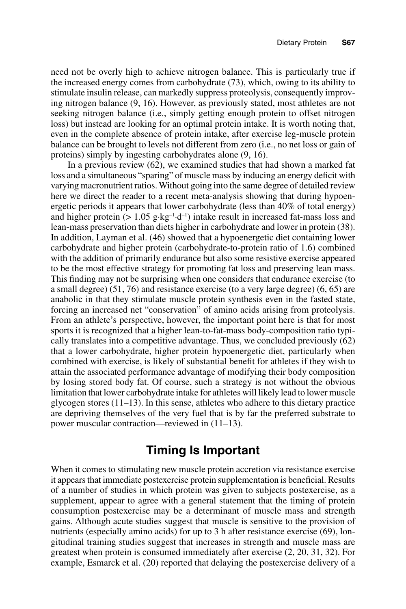need not be overly high to achieve nitrogen balance. This is particularly true if the increased energy comes from carbohydrate (73), which, owing to its ability to stimulate insulin release, can markedly suppress proteolysis, consequently improving nitrogen balance (9, 16). However, as previously stated, most athletes are not seeking nitrogen balance (i.e., simply getting enough protein to offset nitrogen loss) but instead are looking for an optimal protein intake. It is worth noting that, even in the complete absence of protein intake, after exercise leg-muscle protein balance can be brought to levels not different from zero (i.e., no net loss or gain of proteins) simply by ingesting carbohydrates alone (9, 16).

In a previous review (62), we examined studies that had shown a marked fat loss and a simultaneous "sparing" of muscle mass by inducing an energy deficit with varying macronutrient ratios. Without going into the same degree of detailed review here we direct the reader to a recent meta-analysis showing that during hypoenergetic periods it appears that lower carbohydrate (less than 40% of total energy) and higher protein ( $> 1.05$  g·kg<sup>-1</sup>·d<sup>-1</sup>) intake result in increased fat-mass loss and lean-mass preservation than diets higher in carbohydrate and lower in protein (38). In addition, Layman et al. (46) showed that a hypoenergetic diet containing lower carbohydrate and higher protein (carbohydrate-to-protein ratio of 1.6) combined with the addition of primarily endurance but also some resistive exercise appeared to be the most effective strategy for promoting fat loss and preserving lean mass. This finding may not be surprising when one considers that endurance exercise (to a small degree) (51, 76) and resistance exercise (to a very large degree) (6, 65) are anabolic in that they stimulate muscle protein synthesis even in the fasted state, forcing an increased net "conservation" of amino acids arising from proteolysis. From an athlete's perspective, however, the important point here is that for most sports it is recognized that a higher lean-to-fat-mass body-composition ratio typically translates into a competitive advantage. Thus, we concluded previously (62) that a lower carbohydrate, higher protein hypoenergetic diet, particularly when combined with exercise, is likely of substantial benefit for athletes if they wish to attain the associated performance advantage of modifying their body composition by losing stored body fat. Of course, such a strategy is not without the obvious limitation that lower carbohydrate intake for athletes will likely lead to lower muscle glycogen stores  $(11-13)$ . In this sense, athletes who adhere to this dietary practice are depriving themselves of the very fuel that is by far the preferred substrate to power muscular contraction—reviewed in (11–13).

# **Timing Is Important**

When it comes to stimulating new muscle protein accretion via resistance exercise it appears that immediate postexercise protein supplementation is beneficial. Results of a number of studies in which protein was given to subjects postexercise, as a supplement, appear to agree with a general statement that the timing of protein consumption postexercise may be a determinant of muscle mass and strength gains. Although acute studies suggest that muscle is sensitive to the provision of nutrients (especially amino acids) for up to 3 h after resistance exercise (69), longitudinal training studies suggest that increases in strength and muscle mass are greatest when protein is consumed immediately after exercise (2, 20, 31, 32). For example, Esmarck et al. (20) reported that delaying the postexercise delivery of a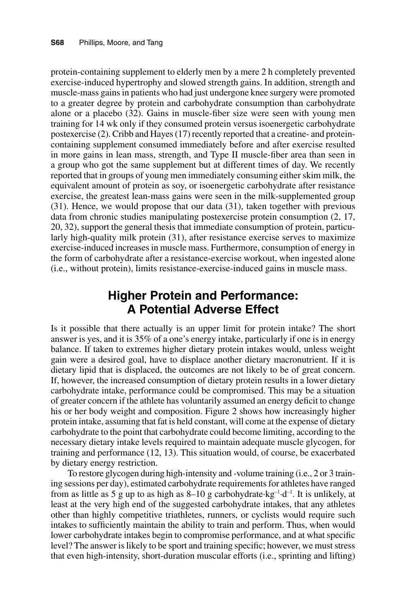protein-containing supplement to elderly men by a mere 2 h completely prevented exercise-induced hypertrophy and slowed strength gains. In addition, strength and muscle-mass gains in patients who had just undergone knee surgery were promoted to a greater degree by protein and carbohydrate consumption than carbohydrate alone or a placebo (32). Gains in muscle-fiber size were seen with young men training for 14 wk only if they consumed protein versus isoenergetic carbohydrate postexercise (2). Cribb and Hayes (17) recently reported that a creatine- and proteincontaining supplement consumed immediately before and after exercise resulted in more gains in lean mass, strength, and Type II muscle-fiber area than seen in a group who got the same supplement but at different times of day. We recently reported that in groups of young men immediately consuming either skim milk, the equivalent amount of protein as soy, or isoenergetic carbohydrate after resistance exercise, the greatest lean-mass gains were seen in the milk-supplemented group (31). Hence, we would propose that our data (31), taken together with previous data from chronic studies manipulating postexercise protein consumption (2, 17, 20, 32), support the general thesis that immediate consumption of protein, particularly high-quality milk protein (31), after resistance exercise serves to maximize exercise-induced increases in muscle mass. Furthermore, consumption of energy in the form of carbohydrate after a resistance-exercise workout, when ingested alone (i.e., without protein), limits resistance-exercise-induced gains in muscle mass.

# **Higher Protein and Performance: A Potential Adverse Effect**

Is it possible that there actually is an upper limit for protein intake? The short answer is yes, and it is 35% of a one's energy intake, particularly if one is in energy balance. If taken to extremes higher dietary protein intakes would, unless weight gain were a desired goal, have to displace another dietary macronutrient. If it is dietary lipid that is displaced, the outcomes are not likely to be of great concern. If, however, the increased consumption of dietary protein results in a lower dietary carbohydrate intake, performance could be compromised. This may be a situation of greater concern if the athlete has voluntarily assumed an energy deficit to change his or her body weight and composition. Figure 2 shows how increasingly higher protein intake, assuming that fat is held constant, will come at the expense of dietary carbohydrate to the point that carbohydrate could become limiting, according to the necessary dietary intake levels required to maintain adequate muscle glycogen, for training and performance (12, 13). This situation would, of course, be exacerbated by dietary energy restriction.

To restore glycogen during high-intensity and -volume training (i.e., 2 or 3 training sessions per day), estimated carbohydrate requirements for athletes have ranged from as little as 5 g up to as high as 8–10 g carbohydrate·kg<sup>-1</sup>·d<sup>-1</sup>. It is unlikely, at least at the very high end of the suggested carbohydrate intakes, that any athletes other than highly competitive triathletes, runners, or cyclists would require such intakes to sufficiently maintain the ability to train and perform. Thus, when would lower carbohydrate intakes begin to compromise performance, and at what specific level? The answer is likely to be sport and training specific; however, we must stress that even high-intensity, short-duration muscular efforts (i.e., sprinting and lifting)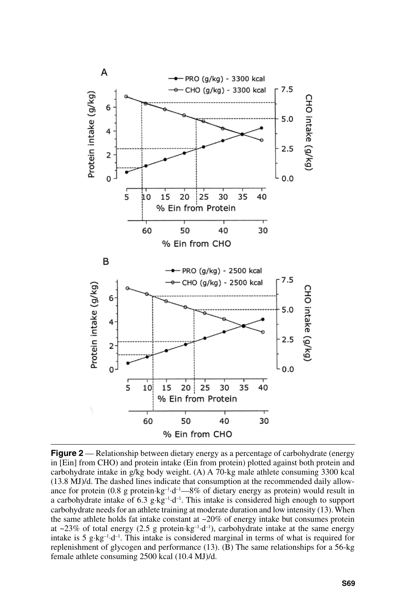

**Figure 2** — Relationship between dietary energy as a percentage of carbohydrate (energy in [Ein] from CHO) and protein intake (Ein from protein) plotted against both protein and carbohydrate intake in g/kg body weight. (A) A 70-kg male athlete consuming 3300 kcal (13.8 MJ)/d. The dashed lines indicate that consumption at the recommended daily allowance for protein  $(0.8 \text{ g protein} \cdot \text{kg}^{-1} \cdot \text{d}^{-1} - 8\% \text{ of dietary energy as protein})$  would result in a carbohydrate intake of 6.3 g·kg<sup>-1</sup>·d<sup>-1</sup>. This intake is considered high enough to support carbohydrate needs for an athlete training at moderate duration and low intensity (13). When the same athlete holds fat intake constant at  $\sim$ 20% of energy intake but consumes protein at  $\sim$ 23% of total energy (2.5 g protein·kg<sup>-1</sup>·d<sup>-1</sup>), carbohydrate intake at the same energy intake is 5 g·kg<sup>-1</sup>·d<sup>-1</sup>. This intake is considered marginal in terms of what is required for replenishment of glycogen and performance (13). (B) The same relationships for a 56-kg female athlete consuming 2500 kcal (10.4 MJ)/d.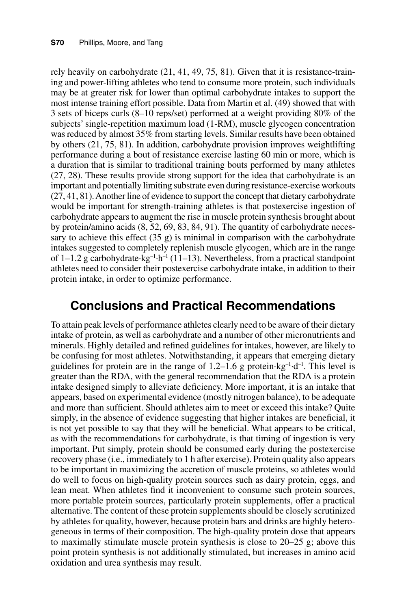rely heavily on carbohydrate (21, 41, 49, 75, 81). Given that it is resistance-training and power-lifting athletes who tend to consume more protein, such individuals may be at greater risk for lower than optimal carbohydrate intakes to support the most intense training effort possible. Data from Martin et al. (49) showed that with 3 sets of biceps curls (8–10 reps/set) performed at a weight providing 80% of the subjects' single-repetition maximum load (1-RM), muscle glycogen concentration was reduced by almost 35% from starting levels. Similar results have been obtained by others (21, 75, 81). In addition, carbohydrate provision improves weightlifting performance during a bout of resistance exercise lasting 60 min or more, which is a duration that is similar to traditional training bouts performed by many athletes (27, 28). These results provide strong support for the idea that carbohydrate is an important and potentially limiting substrate even during resistance-exercise workouts (27, 41, 81). Another line of evidence to support the concept that dietary carbohydrate would be important for strength-training athletes is that postexercise ingestion of carbohydrate appears to augment the rise in muscle protein synthesis brought about by protein/amino acids (8, 52, 69, 83, 84, 91). The quantity of carbohydrate necessary to achieve this effect (35 g) is minimal in comparison with the carbohydrate intakes suggested to completely replenish muscle glycogen, which are in the range of  $1-1.2$  g carbohydrate·kg<sup>-1</sup>·h<sup>-1</sup> (11–13). Nevertheless, from a practical standpoint athletes need to consider their postexercise carbohydrate intake, in addition to their protein intake, in order to optimize performance.

### **Conclusions and Practical Recommendations**

To attain peak levels of performance athletes clearly need to be aware of their dietary intake of protein, as well as carbohydrate and a number of other micronutrients and minerals. Highly detailed and refined guidelines for intakes, however, are likely to be confusing for most athletes. Notwithstanding, it appears that emerging dietary guidelines for protein are in the range of  $1.2-1.6$  g protein·kg<sup>-1</sup>·d<sup>-1</sup>. This level is greater than the RDA, with the general recommendation that the RDA is a protein intake designed simply to alleviate deficiency. More important, it is an intake that appears, based on experimental evidence (mostly nitrogen balance), to be adequate and more than sufficient. Should athletes aim to meet or exceed this intake? Quite simply, in the absence of evidence suggesting that higher intakes are beneficial, it is not yet possible to say that they will be beneficial. What appears to be critical, as with the recommendations for carbohydrate, is that timing of ingestion is very important. Put simply, protein should be consumed early during the postexercise recovery phase (i.e., immediately to 1 h after exercise). Protein quality also appears to be important in maximizing the accretion of muscle proteins, so athletes would do well to focus on high-quality protein sources such as dairy protein, eggs, and lean meat. When athletes find it inconvenient to consume such protein sources, more portable protein sources, particularly protein supplements, offer a practical alternative. The content of these protein supplements should be closely scrutinized by athletes for quality, however, because protein bars and drinks are highly heterogeneous in terms of their composition. The high-quality protein dose that appears to maximally stimulate muscle protein synthesis is close to 20–25 g; above this point protein synthesis is not additionally stimulated, but increases in amino acid oxidation and urea synthesis may result.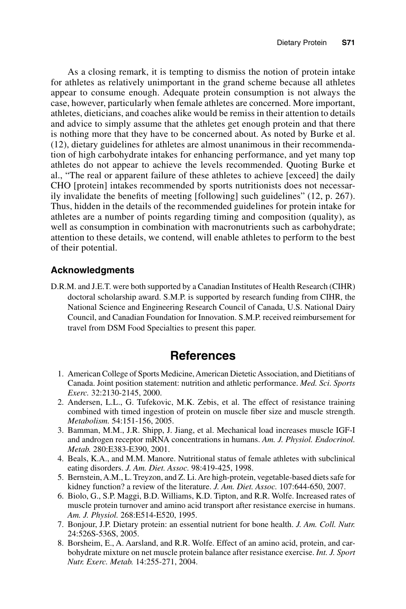As a closing remark, it is tempting to dismiss the notion of protein intake for athletes as relatively unimportant in the grand scheme because all athletes appear to consume enough. Adequate protein consumption is not always the case, however, particularly when female athletes are concerned. More important, athletes, dieticians, and coaches alike would be remiss in their attention to details and advice to simply assume that the athletes get enough protein and that there is nothing more that they have to be concerned about. As noted by Burke et al. (12), dietary guidelines for athletes are almost unanimous in their recommendation of high carbohydrate intakes for enhancing performance, and yet many top athletes do not appear to achieve the levels recommended. Quoting Burke et al., "The real or apparent failure of these athletes to achieve [exceed] the daily CHO [protein] intakes recommended by sports nutritionists does not necessarily invalidate the benefits of meeting [following] such guidelines" (12, p. 267). Thus, hidden in the details of the recommended guidelines for protein intake for athletes are a number of points regarding timing and composition (quality), as well as consumption in combination with macronutrients such as carbohydrate; attention to these details, we contend, will enable athletes to perform to the best of their potential.

#### **Acknowledgments**

D.R.M. and J.E.T. were both supported by a Canadian Institutes of Health Research (CIHR) doctoral scholarship award. S.M.P. is supported by research funding from CIHR, the National Science and Engineering Research Council of Canada, U.S. National Dairy Council, and Canadian Foundation for Innovation. S.M.P. received reimbursement for travel from DSM Food Specialties to present this paper.

### **References**

- 1. American College of Sports Medicine, American Dietetic Association, and Dietitians of Canada. Joint position statement: nutrition and athletic performance. *Med. Sci. Sports Exerc.* 32:2130-2145, 2000.
- 2. Andersen, L.L., G. Tufekovic, M.K. Zebis, et al. The effect of resistance training combined with timed ingestion of protein on muscle fiber size and muscle strength. *Metabolism.* 54:151-156, 2005.
- 3. Bamman, M.M., J.R. Shipp, J. Jiang, et al. Mechanical load increases muscle IGF-I and androgen receptor mRNA concentrations in humans. *Am. J. Physiol. Endocrinol. Metab.* 280:E383-E390, 2001.
- 4. Beals, K.A., and M.M. Manore. Nutritional status of female athletes with subclinical eating disorders. *J. Am. Diet. Assoc.* 98:419-425, 1998.
- 5. Bernstein, A.M., L. Treyzon, and Z. Li. Are high-protein, vegetable-based diets safe for kidney function? a review of the literature. *J. Am. Diet. Assoc.* 107:644-650, 2007.
- 6. Biolo, G., S.P. Maggi, B.D. Williams, K.D. Tipton, and R.R. Wolfe. Increased rates of muscle protein turnover and amino acid transport after resistance exercise in humans. *Am. J. Physiol.* 268:E514-E520, 1995.
- 7. Bonjour, J.P. Dietary protein: an essential nutrient for bone health. *J. Am. Coll. Nutr.* 24:526S-536S, 2005.
- 8. Borsheim, E., A. Aarsland, and R.R. Wolfe. Effect of an amino acid, protein, and carbohydrate mixture on net muscle protein balance after resistance exercise. *Int. J. Sport Nutr. Exerc. Metab.* 14:255-271, 2004.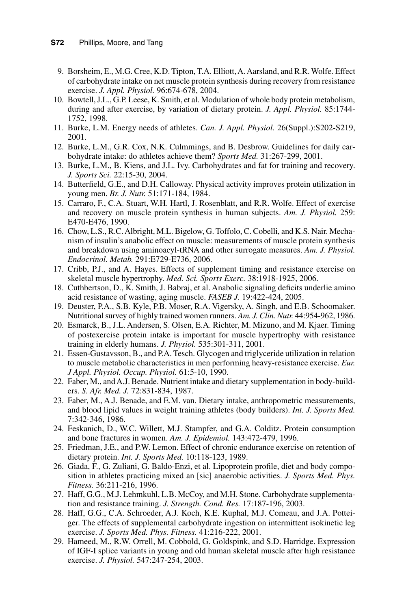- 9. Borsheim, E., M.G. Cree, K.D. Tipton, T.A. Elliott, A. Aarsland, and R.R. Wolfe. Effect of carbohydrate intake on net muscle protein synthesis during recovery from resistance exercise. *J. Appl. Physiol.* 96:674-678, 2004.
- 10. Bowtell, J.L., G.P. Leese, K. Smith, et al. Modulation of whole body protein metabolism, during and after exercise, by variation of dietary protein. *J. Appl. Physiol.* 85:1744- 1752, 1998.
- 11. Burke, L.M. Energy needs of athletes. *Can. J. Appl. Physiol.* 26(Suppl.):S202-S219, 2001.
- 12. Burke, L.M., G.R. Cox, N.K. Culmmings, and B. Desbrow. Guidelines for daily carbohydrate intake: do athletes achieve them? *Sports Med.* 31:267-299, 2001.
- 13. Burke, L.M., B. Kiens, and J.L. Ivy. Carbohydrates and fat for training and recovery. *J. Sports Sci.* 22:15-30, 2004.
- 14. Butterfield, G.E., and D.H. Calloway. Physical activity improves protein utilization in young men. *Br. J. Nutr.* 51:171-184, 1984.
- 15. Carraro, F., C.A. Stuart, W.H. Hartl, J. Rosenblatt, and R.R. Wolfe. Effect of exercise and recovery on muscle protein synthesis in human subjects. *Am. J. Physiol.* 259: E470-E476, 1990.
- 16. Chow, L.S., R.C. Albright, M.L. Bigelow, G. Toffolo, C. Cobelli, and K.S. Nair. Mechanism of insulin's anabolic effect on muscle: measurements of muscle protein synthesis and breakdown using aminoacyl-tRNA and other surrogate measures. *Am. J. Physiol. Endocrinol. Metab.* 291:E729-E736, 2006.
- 17. Cribb, P.J., and A. Hayes. Effects of supplement timing and resistance exercise on skeletal muscle hypertrophy. *Med. Sci. Sports Exerc.* 38:1918-1925, 2006.
- 18. Cuthbertson, D., K. Smith, J. Babraj, et al. Anabolic signaling deficits underlie amino acid resistance of wasting, aging muscle. *FASEB J.* 19:422-424, 2005.
- 19. Deuster, P.A., S.B. Kyle, P.B. Moser, R.A. Vigersky, A. Singh, and E.B. Schoomaker. Nutritional survey of highly trained women runners. *Am. J. Clin. Nutr.* 44:954-962, 1986.
- 20. Esmarck, B., J.L. Andersen, S. Olsen, E.A. Richter, M. Mizuno, and M. Kjaer. Timing of postexercise protein intake is important for muscle hypertrophy with resistance training in elderly humans. *J. Physiol.* 535:301-311, 2001.
- 21. Essen-Gustavsson, B., and P.A. Tesch. Glycogen and triglyceride utilization in relation to muscle metabolic characteristics in men performing heavy-resistance exercise. *Eur. J Appl. Physiol. Occup. Physiol.* 61:5-10, 1990.
- 22. Faber, M., and A.J. Benade. Nutrient intake and dietary supplementation in body-builders. *S. Afr. Med. J.* 72:831-834, 1987.
- 23. Faber, M., A.J. Benade, and E.M. van. Dietary intake, anthropometric measurements, and blood lipid values in weight training athletes (body builders). *Int. J. Sports Med.* 7:342-346, 1986.
- 24. Feskanich, D., W.C. Willett, M.J. Stampfer, and G.A. Colditz. Protein consumption and bone fractures in women. *Am. J. Epidemiol.* 143:472-479, 1996.
- 25. Friedman, J.E., and P.W. Lemon. Effect of chronic endurance exercise on retention of dietary protein. *Int. J. Sports Med.* 10:118-123, 1989.
- 26. Giada, F., G. Zuliani, G. Baldo-Enzi, et al. Lipoprotein profile, diet and body composition in athletes practicing mixed an [sic] anaerobic activities. *J. Sports Med. Phys. Fitness.* 36:211-216, 1996.
- 27. Haff, G.G., M.J. Lehmkuhl, L.B. McCoy, and M.H. Stone. Carbohydrate supplementation and resistance training. *J. Strength. Cond. Res.* 17:187-196, 2003.
- 28. Haff, G.G., C.A. Schroeder, A.J. Koch, K.E. Kuphal, M.J. Comeau, and J.A. Potteiger. The effects of supplemental carbohydrate ingestion on intermittent isokinetic leg exercise. *J. Sports Med. Phys. Fitness.* 41:216-222, 2001.
- 29. Hameed, M., R.W. Orrell, M. Cobbold, G. Goldspink, and S.D. Harridge. Expression of IGF-I splice variants in young and old human skeletal muscle after high resistance exercise. *J. Physiol.* 547:247-254, 2003.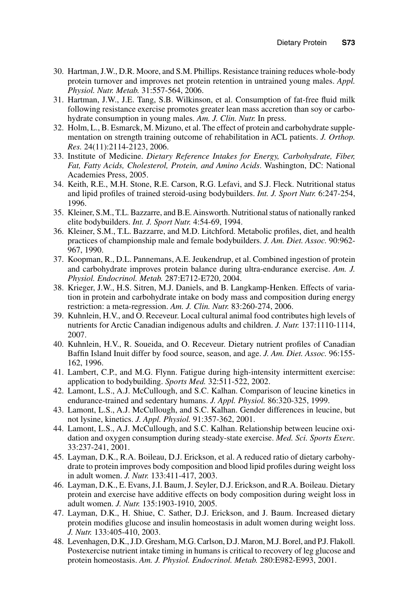- 30. Hartman, J.W., D.R. Moore, and S.M. Phillips. Resistance training reduces whole-body protein turnover and improves net protein retention in untrained young males. *Appl. Physiol. Nutr. Metab.* 31:557-564, 2006.
- 31. Hartman, J.W., J.E. Tang, S.B. Wilkinson, et al. Consumption of fat-free fluid milk following resistance exercise promotes greater lean mass accretion than soy or carbohydrate consumption in young males. *Am. J. Clin. Nutr.* In press.
- 32. Holm, L., B. Esmarck, M. Mizuno, et al. The effect of protein and carbohydrate supplementation on strength training outcome of rehabilitation in ACL patients. *J. Orthop. Res.* 24(11):2114-2123, 2006.
- 33. Institute of Medicine. *Dietary Reference Intakes for Energy, Carbohydrate, Fiber, Fat, Fatty Acids, Cholesterol, Protein, and Amino Acids*. Washington, DC: National Academies Press, 2005.
- 34. Keith, R.E., M.H. Stone, R.E. Carson, R.G. Lefavi, and S.J. Fleck. Nutritional status and lipid profiles of trained steroid-using bodybuilders. *Int. J. Sport Nutr.* 6:247-254, 1996.
- 35. Kleiner, S.M., T.L. Bazzarre, and B.E. Ainsworth. Nutritional status of nationally ranked elite bodybuilders. *Int. J. Sport Nutr.* 4:54-69, 1994.
- 36. Kleiner, S.M., T.L. Bazzarre, and M.D. Litchford. Metabolic profiles, diet, and health practices of championship male and female bodybuilders. *J. Am. Diet. Assoc.* 90:962- 967, 1990.
- 37. Koopman, R., D.L. Pannemans, A.E. Jeukendrup, et al. Combined ingestion of protein and carbohydrate improves protein balance during ultra-endurance exercise. *Am. J. Physiol. Endocrinol. Metab.* 287:E712-E720, 2004.
- 38. Krieger, J.W., H.S. Sitren, M.J. Daniels, and B. Langkamp-Henken. Effects of variation in protein and carbohydrate intake on body mass and composition during energy restriction: a meta-regression. *Am. J. Clin. Nutr.* 83:260-274, 2006.
- 39. Kuhnlein, H.V., and O. Receveur. Local cultural animal food contributes high levels of nutrients for Arctic Canadian indigenous adults and children. *J. Nutr.* 137:1110-1114, 2007.
- 40. Kuhnlein, H.V., R. Soueida, and O. Receveur. Dietary nutrient profiles of Canadian Baffin Island Inuit differ by food source, season, and age. *J. Am. Diet. Assoc.* 96:155- 162, 1996.
- 41. Lambert, C.P., and M.G. Flynn. Fatigue during high-intensity intermittent exercise: application to bodybuilding. *Sports Med.* 32:511-522, 2002.
- 42. Lamont, L.S., A.J. McCullough, and S.C. Kalhan. Comparison of leucine kinetics in endurance-trained and sedentary humans. *J. Appl. Physiol.* 86:320-325, 1999.
- 43. Lamont, L.S., A.J. McCullough, and S.C. Kalhan. Gender differences in leucine, but not lysine, kinetics. *J. Appl. Physiol.* 91:357-362, 2001.
- 44. Lamont, L.S., A.J. McCullough, and S.C. Kalhan. Relationship between leucine oxidation and oxygen consumption during steady-state exercise. *Med. Sci. Sports Exerc.* 33:237-241, 2001.
- 45. Layman, D.K., R.A. Boileau, D.J. Erickson, et al. A reduced ratio of dietary carbohydrate to protein improves body composition and blood lipid profiles during weight loss in adult women. *J. Nutr.* 133:411-417, 2003.
- 46. Layman, D.K., E. Evans, J.I. Baum, J. Seyler, D.J. Erickson, and R.A. Boileau. Dietary protein and exercise have additive effects on body composition during weight loss in adult women. *J. Nutr.* 135:1903-1910, 2005.
- 47. Layman, D.K., H. Shiue, C. Sather, D.J. Erickson, and J. Baum. Increased dietary protein modifies glucose and insulin homeostasis in adult women during weight loss. *J. Nutr.* 133:405-410, 2003.
- 48. Levenhagen, D.K., J.D. Gresham, M.G. Carlson, D.J. Maron, M.J. Borel, and P.J. Flakoll. Postexercise nutrient intake timing in humans is critical to recovery of leg glucose and protein homeostasis. *Am. J. Physiol. Endocrinol. Metab.* 280:E982-E993, 2001.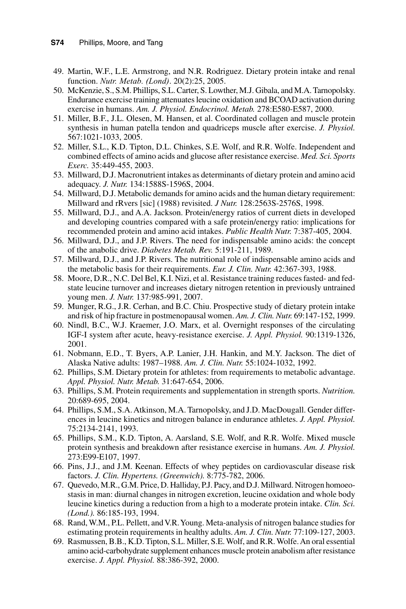- 49. Martin, W.F., L.E. Armstrong, and N.R. Rodriguez. Dietary protein intake and renal function. *Nutr. Metab. (Lond)*. 20(2):25, 2005.
- 50. McKenzie, S., S.M. Phillips, S.L. Carter, S. Lowther, M.J. Gibala, and M.A. Tarnopolsky. Endurance exercise training attenuates leucine oxidation and BCOAD activation during exercise in humans. *Am. J. Physiol. Endocrinol. Metab.* 278:E580-E587, 2000.
- 51. Miller, B.F., J.L. Olesen, M. Hansen, et al. Coordinated collagen and muscle protein synthesis in human patella tendon and quadriceps muscle after exercise. *J. Physiol.* 567:1021-1033, 2005.
- 52. Miller, S.L., K.D. Tipton, D.L. Chinkes, S.E. Wolf, and R.R. Wolfe. Independent and combined effects of amino acids and glucose after resistance exercise. *Med. Sci. Sports Exerc.* 35:449-455, 2003.
- 53. Millward, D.J. Macronutrient intakes as determinants of dietary protein and amino acid adequacy. *J. Nutr.* 134:1588S-1596S, 2004.
- 54. Millward, D.J. Metabolic demands for amino acids and the human dietary requirement: Millward and rRvers [sic] (1988) revisited. *J Nutr.* 128:2563S-2576S, 1998.
- 55. Millward, D.J., and A.A. Jackson. Protein/energy ratios of current diets in developed and developing countries compared with a safe protein/energy ratio: implications for recommended protein and amino acid intakes. *Public Health Nutr.* 7:387-405, 2004.
- 56. Millward, D.J., and J.P. Rivers. The need for indispensable amino acids: the concept of the anabolic drive. *Diabetes Metab. Rev.* 5:191-211, 1989.
- 57. Millward, D.J., and J.P. Rivers. The nutritional role of indispensable amino acids and the metabolic basis for their requirements. *Eur. J. Clin. Nutr.* 42:367-393, 1988.
- 58. Moore, D.R., N.C. Del Bel, K.I. Nizi, et al. Resistance training reduces fasted- and fedstate leucine turnover and increases dietary nitrogen retention in previously untrained young men. *J. Nutr.* 137:985-991, 2007.
- 59. Munger, R.G., J.R. Cerhan, and B.C. Chiu. Prospective study of dietary protein intake and risk of hip fracture in postmenopausal women. *Am. J. Clin. Nutr.* 69:147-152, 1999.
- 60. Nindl, B.C., W.J. Kraemer, J.O. Marx, et al. Overnight responses of the circulating IGF-I system after acute, heavy-resistance exercise. *J. Appl. Physiol.* 90:1319-1326, 2001.
- 61. Nobmann, E.D., T. Byers, A.P. Lanier, J.H. Hankin, and M.Y. Jackson. The diet of Alaska Native adults: 1987–1988. *Am. J. Clin. Nutr.* 55:1024-1032, 1992.
- 62. Phillips, S.M. Dietary protein for athletes: from requirements to metabolic advantage. *Appl. Physiol. Nutr. Metab.* 31:647-654, 2006.
- 63. Phillips, S.M. Protein requirements and supplementation in strength sports. *Nutrition.* 20:689-695, 2004.
- 64. Phillips, S.M., S.A. Atkinson, M.A. Tarnopolsky, and J.D. MacDougall. Gender differences in leucine kinetics and nitrogen balance in endurance athletes. *J. Appl. Physiol.* 75:2134-2141, 1993.
- 65. Phillips, S.M., K.D. Tipton, A. Aarsland, S.E. Wolf, and R.R. Wolfe. Mixed muscle protein synthesis and breakdown after resistance exercise in humans. *Am. J. Physiol.* 273:E99-E107, 1997.
- 66. Pins, J.J., and J.M. Keenan. Effects of whey peptides on cardiovascular disease risk factors. *J. Clin. Hypertens. (Greenwich).* 8:775-782, 2006.
- 67. Quevedo, M.R., G.M. Price, D. Halliday, P.J. Pacy, and D.J. Millward. Nitrogen homoeostasis in man: diurnal changes in nitrogen excretion, leucine oxidation and whole body leucine kinetics during a reduction from a high to a moderate protein intake. *Clin. Sci. (Lond.).* 86:185-193, 1994.
- 68. Rand, W.M., P.L. Pellett, and V.R. Young. Meta-analysis of nitrogen balance studies for estimating protein requirements in healthy adults. *Am. J. Clin. Nutr.* 77:109-127, 2003.
- 69. Rasmussen, B.B., K.D. Tipton, S.L. Miller, S.E. Wolf, and R.R. Wolfe. An oral essential amino acid-carbohydrate supplement enhances muscle protein anabolism after resistance exercise. *J. Appl. Physiol.* 88:386-392, 2000.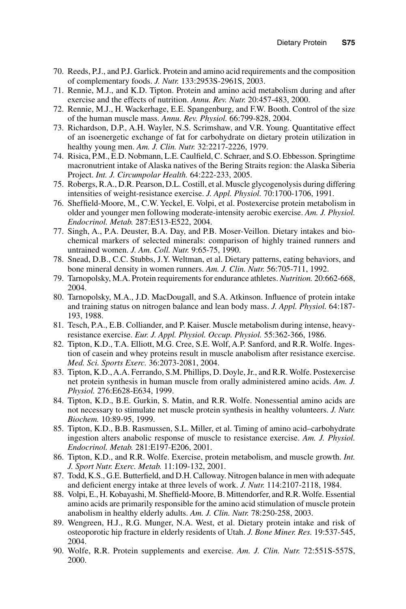- 70. Reeds, P.J., and P.J. Garlick. Protein and amino acid requirements and the composition of complementary foods. *J. Nutr.* 133:2953S-2961S, 2003.
- 71. Rennie, M.J., and K.D. Tipton. Protein and amino acid metabolism during and after exercise and the effects of nutrition. *Annu. Rev. Nutr.* 20:457-483, 2000.
- 72. Rennie, M.J., H. Wackerhage, E.E. Spangenburg, and F.W. Booth. Control of the size of the human muscle mass. *Annu. Rev. Physiol.* 66:799-828, 2004.
- 73. Richardson, D.P., A.H. Wayler, N.S. Scrimshaw, and V.R. Young. Quantitative effect of an isoenergetic exchange of fat for carbohydrate on dietary protein utilization in healthy young men. *Am. J. Clin. Nutr.* 32:2217-2226, 1979.
- 74. Risica, P.M., E.D. Nobmann, L.E. Caulfield, C. Schraer, and S.O. Ebbesson. Springtime macronutrient intake of Alaska natives of the Bering Straits region: the Alaska Siberia Project. *Int. J. Circumpolar Health.* 64:222-233, 2005.
- 75. Robergs, R.A., D.R. Pearson, D.L. Costill, et al. Muscle glycogenolysis during differing intensities of weight-resistance exercise. *J. Appl. Physiol.* 70:1700-1706, 1991.
- 76. Sheffield-Moore, M., C.W. Yeckel, E. Volpi, et al. Postexercise protein metabolism in older and younger men following moderate-intensity aerobic exercise. *Am. J. Physiol. Endocrinol. Metab.* 287:E513-E522, 2004.
- 77. Singh, A., P.A. Deuster, B.A. Day, and P.B. Moser-Veillon. Dietary intakes and biochemical markers of selected minerals: comparison of highly trained runners and untrained women. *J. Am. Coll. Nutr.* 9:65-75, 1990.
- 78. Snead, D.B., C.C. Stubbs, J.Y. Weltman, et al. Dietary patterns, eating behaviors, and bone mineral density in women runners. *Am. J. Clin. Nutr.* 56:705-711, 1992.
- 79. Tarnopolsky, M.A. Protein requirements for endurance athletes. *Nutrition.* 20:662-668, 2004.
- 80. Tarnopolsky, M.A., J.D. MacDougall, and S.A. Atkinson. Influence of protein intake and training status on nitrogen balance and lean body mass. *J. Appl. Physiol.* 64:187- 193, 1988.
- 81. Tesch, P.A., E.B. Colliander, and P. Kaiser. Muscle metabolism during intense, heavyresistance exercise. *Eur. J. Appl. Physiol. Occup. Physiol.* 55:362-366, 1986.
- 82. Tipton, K.D., T.A. Elliott, M.G. Cree, S.E. Wolf, A.P. Sanford, and R.R. Wolfe. Ingestion of casein and whey proteins result in muscle anabolism after resistance exercise. *Med. Sci. Sports Exerc.* 36:2073-2081, 2004.
- 83. Tipton, K.D., A.A. Ferrando, S.M. Phillips, D. Doyle, Jr., and R.R. Wolfe. Postexercise net protein synthesis in human muscle from orally administered amino acids. *Am. J. Physiol.* 276:E628-E634, 1999.
- 84. Tipton, K.D., B.E. Gurkin, S. Matin, and R.R. Wolfe. Nonessential amino acids are not necessary to stimulate net muscle protein synthesis in healthy volunteers. *J. Nutr. Biochem.* 10:89-95, 1999.
- 85. Tipton, K.D., B.B. Rasmussen, S.L. Miller, et al. Timing of amino acid–carbohydrate ingestion alters anabolic response of muscle to resistance exercise. *Am. J. Physiol. Endocrinol. Metab.* 281:E197-E206, 2001.
- 86. Tipton, K.D., and R.R. Wolfe. Exercise, protein metabolism, and muscle growth. *Int. J. Sport Nutr. Exerc. Metab.* 11:109-132, 2001.
- 87. Todd, K.S., G.E. Butterfield, and D.H. Calloway. Nitrogen balance in men with adequate and deficient energy intake at three levels of work. *J. Nutr.* 114:2107-2118, 1984.
- 88. Volpi, E., H. Kobayashi, M. Sheffield-Moore, B. Mittendorfer, and R.R. Wolfe. Essential amino acids are primarily responsible for the amino acid stimulation of muscle protein anabolism in healthy elderly adults. *Am. J. Clin. Nutr.* 78:250-258, 2003.
- 89. Wengreen, H.J., R.G. Munger, N.A. West, et al. Dietary protein intake and risk of osteoporotic hip fracture in elderly residents of Utah. *J. Bone Miner. Res.* 19:537-545, 2004.
- 90. Wolfe, R.R. Protein supplements and exercise. *Am. J. Clin. Nutr.* 72:551S-557S, 2000.